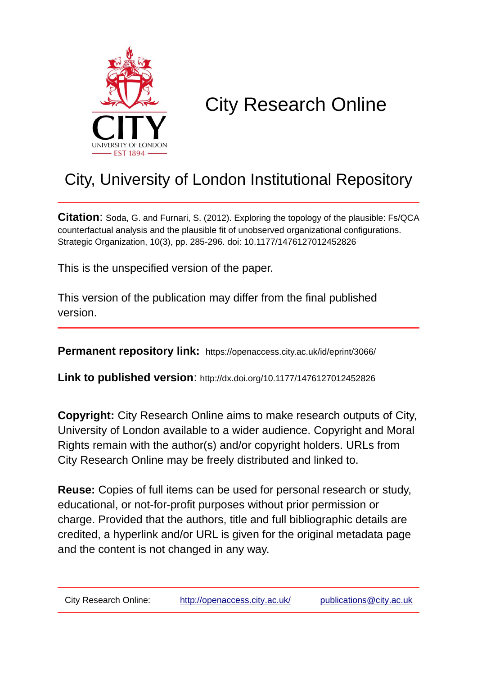

# City Research Online

## City, University of London Institutional Repository

**Citation**: Soda, G. and Furnari, S. (2012). Exploring the topology of the plausible: Fs/QCA counterfactual analysis and the plausible fit of unobserved organizational configurations. Strategic Organization, 10(3), pp. 285-296. doi: 10.1177/1476127012452826

This is the unspecified version of the paper.

This version of the publication may differ from the final published version.

**Permanent repository link:** https://openaccess.city.ac.uk/id/eprint/3066/

**Link to published version**: http://dx.doi.org/10.1177/1476127012452826

**Copyright:** City Research Online aims to make research outputs of City, University of London available to a wider audience. Copyright and Moral Rights remain with the author(s) and/or copyright holders. URLs from City Research Online may be freely distributed and linked to.

**Reuse:** Copies of full items can be used for personal research or study, educational, or not-for-profit purposes without prior permission or charge. Provided that the authors, title and full bibliographic details are credited, a hyperlink and/or URL is given for the original metadata page and the content is not changed in any way.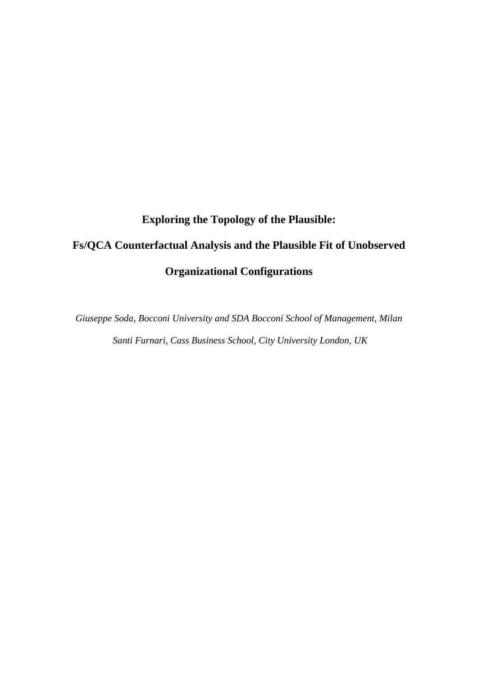# **Exploring the Topology of the Plausible: Fs/QCA Counterfactual Analysis and the Plausible Fit of Unobserved Organizational Configurations**

*Giuseppe Soda, Bocconi University and SDA Bocconi School of Management, Milan Santi Furnari, Cass Business School, City University London, UK*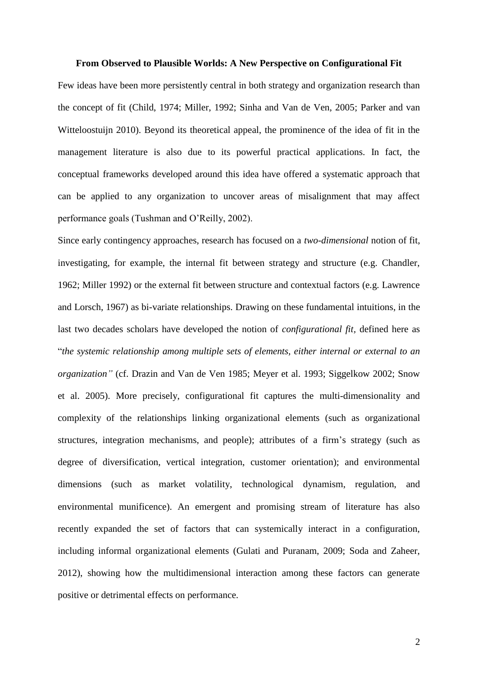#### **From Observed to Plausible Worlds: A New Perspective on Configurational Fit**

Few ideas have been more persistently central in both strategy and organization research than the concept of fit (Child, 1974; Miller, 1992; Sinha and Van de Ven, 2005; Parker and van Witteloostuijn 2010). Beyond its theoretical appeal, the prominence of the idea of fit in the management literature is also due to its powerful practical applications. In fact, the conceptual frameworks developed around this idea have offered a systematic approach that can be applied to any organization to uncover areas of misalignment that may affect performance goals (Tushman and O'Reilly, 2002).

Since early contingency approaches, research has focused on a *two-dimensional* notion of fit, investigating, for example, the internal fit between strategy and structure (e.g. Chandler, 1962; Miller 1992) or the external fit between structure and contextual factors (e.g. Lawrence and Lorsch, 1967) as bi-variate relationships. Drawing on these fundamental intuitions, in the last two decades scholars have developed the notion of *configurational fit,* defined here as "*the systemic relationship among multiple sets of elements, either internal or external to an organization"* (cf. Drazin and Van de Ven 1985; Meyer et al. 1993; Siggelkow 2002; Snow et al. 2005). More precisely, configurational fit captures the multi-dimensionality and complexity of the relationships linking organizational elements (such as organizational structures, integration mechanisms, and people); attributes of a firm's strategy (such as degree of diversification, vertical integration, customer orientation); and environmental dimensions (such as market volatility, technological dynamism, regulation, and environmental munificence). An emergent and promising stream of literature has also recently expanded the set of factors that can systemically interact in a configuration, including informal organizational elements (Gulati and Puranam, 2009; Soda and Zaheer, 2012), showing how the multidimensional interaction among these factors can generate positive or detrimental effects on performance.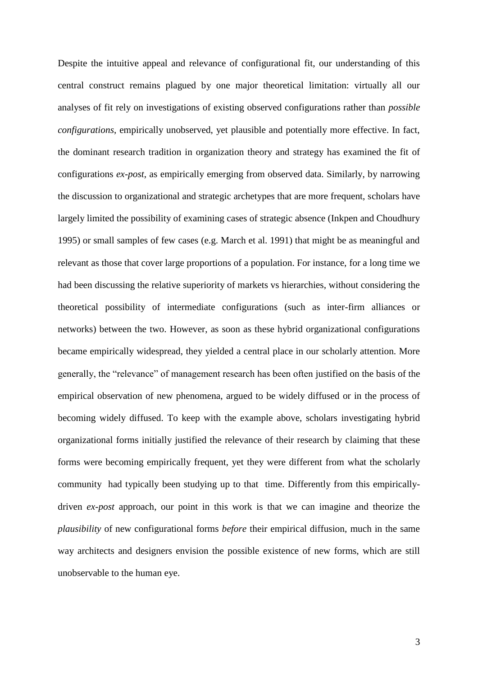Despite the intuitive appeal and relevance of configurational fit, our understanding of this central construct remains plagued by one major theoretical limitation: virtually all our analyses of fit rely on investigations of existing observed configurations rather than *possible configurations*, empirically unobserved, yet plausible and potentially more effective. In fact, the dominant research tradition in organization theory and strategy has examined the fit of configurations *ex-post*, as empirically emerging from observed data. Similarly, by narrowing the discussion to organizational and strategic archetypes that are more frequent, scholars have largely limited the possibility of examining cases of strategic absence (Inkpen and Choudhury 1995) or small samples of few cases (e.g. March et al. 1991) that might be as meaningful and relevant as those that cover large proportions of a population. For instance, for a long time we had been discussing the relative superiority of markets vs hierarchies, without considering the theoretical possibility of intermediate configurations (such as inter-firm alliances or networks) between the two. However, as soon as these hybrid organizational configurations became empirically widespread, they yielded a central place in our scholarly attention. More generally, the "relevance" of management research has been often justified on the basis of the empirical observation of new phenomena, argued to be widely diffused or in the process of becoming widely diffused. To keep with the example above, scholars investigating hybrid organizational forms initially justified the relevance of their research by claiming that these forms were becoming empirically frequent, yet they were different from what the scholarly community had typically been studying up to that time. Differently from this empiricallydriven *ex-post* approach, our point in this work is that we can imagine and theorize the *plausibility* of new configurational forms *before* their empirical diffusion, much in the same way architects and designers envision the possible existence of new forms, which are still unobservable to the human eye.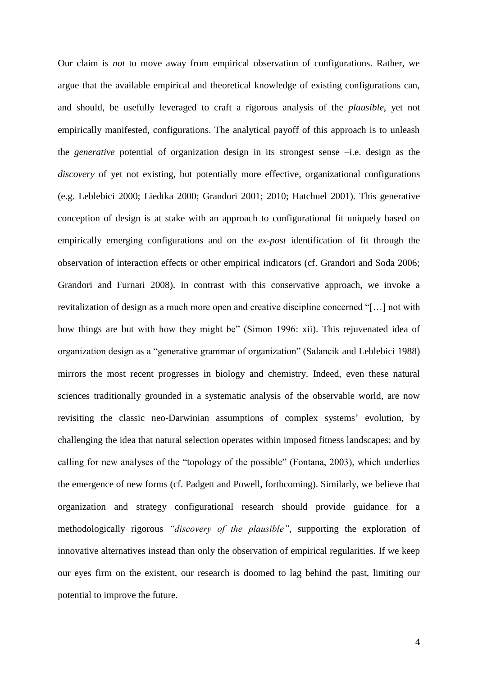Our claim is *not* to move away from empirical observation of configurations. Rather, we argue that the available empirical and theoretical knowledge of existing configurations can, and should, be usefully leveraged to craft a rigorous analysis of the *plausible*, yet not empirically manifested, configurations. The analytical payoff of this approach is to unleash the *generative* potential of organization design in its strongest sense –i.e. design as the *discovery* of yet not existing, but potentially more effective, organizational configurations (e.g. Leblebici 2000; Liedtka 2000; Grandori 2001; 2010; Hatchuel 2001). This generative conception of design is at stake with an approach to configurational fit uniquely based on empirically emerging configurations and on the *ex-post* identification of fit through the observation of interaction effects or other empirical indicators (cf. Grandori and Soda 2006; Grandori and Furnari 2008). In contrast with this conservative approach, we invoke a revitalization of design as a much more open and creative discipline concerned "[…] not with how things are but with how they might be" (Simon 1996: xii). This rejuvenated idea of organization design as a "generative grammar of organization" (Salancik and Leblebici 1988) mirrors the most recent progresses in biology and chemistry. Indeed, even these natural sciences traditionally grounded in a systematic analysis of the observable world, are now revisiting the classic neo-Darwinian assumptions of complex systems' evolution, by challenging the idea that natural selection operates within imposed fitness landscapes; and by calling for new analyses of the "topology of the possible" (Fontana, 2003), which underlies the emergence of new forms (cf. Padgett and Powell, forthcoming). Similarly, we believe that organization and strategy configurational research should provide guidance for a methodologically rigorous *"discovery of the plausible"*, supporting the exploration of innovative alternatives instead than only the observation of empirical regularities. If we keep our eyes firm on the existent, our research is doomed to lag behind the past, limiting our potential to improve the future.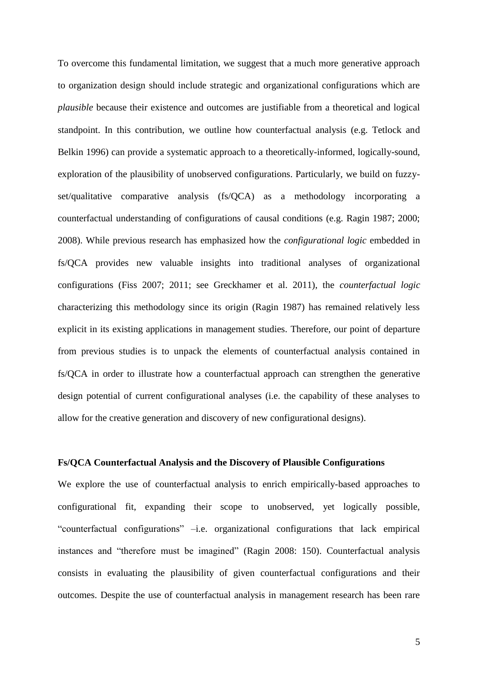To overcome this fundamental limitation, we suggest that a much more generative approach to organization design should include strategic and organizational configurations which are *plausible* because their existence and outcomes are justifiable from a theoretical and logical standpoint. In this contribution, we outline how counterfactual analysis (e.g. Tetlock and Belkin 1996) can provide a systematic approach to a theoretically-informed, logically-sound, exploration of the plausibility of unobserved configurations. Particularly, we build on fuzzyset/qualitative comparative analysis (fs/QCA) as a methodology incorporating a counterfactual understanding of configurations of causal conditions (e.g. Ragin 1987; 2000; 2008). While previous research has emphasized how the *configurational logic* embedded in fs/QCA provides new valuable insights into traditional analyses of organizational configurations (Fiss 2007; 2011; see Greckhamer et al. 2011), the *counterfactual logic* characterizing this methodology since its origin (Ragin 1987) has remained relatively less explicit in its existing applications in management studies. Therefore, our point of departure from previous studies is to unpack the elements of counterfactual analysis contained in fs/QCA in order to illustrate how a counterfactual approach can strengthen the generative design potential of current configurational analyses (i.e. the capability of these analyses to allow for the creative generation and discovery of new configurational designs).

#### **Fs/QCA Counterfactual Analysis and the Discovery of Plausible Configurations**

We explore the use of counterfactual analysis to enrich empirically-based approaches to configurational fit, expanding their scope to unobserved, yet logically possible, "counterfactual configurations" –i.e. organizational configurations that lack empirical instances and "therefore must be imagined" (Ragin 2008: 150). Counterfactual analysis consists in evaluating the plausibility of given counterfactual configurations and their outcomes. Despite the use of counterfactual analysis in management research has been rare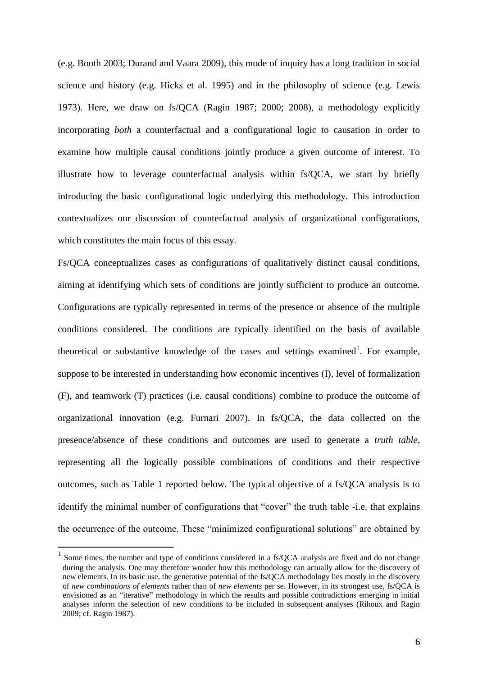(e.g. Booth 2003; Durand and Vaara 2009), this mode of inquiry has a long tradition in social science and history (e.g. Hicks et al. 1995) and in the philosophy of science (e.g. Lewis 1973). Here, we draw on fs/QCA (Ragin 1987; 2000; 2008), a methodology explicitly incorporating *both* a counterfactual and a configurational logic to causation in order to examine how multiple causal conditions jointly produce a given outcome of interest. To illustrate how to leverage counterfactual analysis within fs/QCA, we start by briefly introducing the basic configurational logic underlying this methodology. This introduction contextualizes our discussion of counterfactual analysis of organizational configurations, which constitutes the main focus of this essay.

Fs/QCA conceptualizes cases as configurations of qualitatively distinct causal conditions, aiming at identifying which sets of conditions are jointly sufficient to produce an outcome. Configurations are typically represented in terms of the presence or absence of the multiple conditions considered. The conditions are typically identified on the basis of available theoretical or substantive knowledge of the cases and settings examined<sup>1</sup>. For example, suppose to be interested in understanding how economic incentives (I), level of formalization (F), and teamwork (T) practices (i.e. causal conditions) combine to produce the outcome of organizational innovation (e.g. Furnari 2007). In fs/QCA, the data collected on the presence/absence of these conditions and outcomes are used to generate a *truth table*, representing all the logically possible combinations of conditions and their respective outcomes, such as Table 1 reported below. The typical objective of a fs/QCA analysis is to identify the minimal number of configurations that "cover" the truth table -i.e. that explains the occurrence of the outcome. These "minimized configurational solutions" are obtained by

1

<sup>&</sup>lt;sup>1</sup> Some times, the number and type of conditions considered in a fs/QCA analysis are fixed and do not change during the analysis. One may therefore wonder how this methodology can actually allow for the discovery of new elements. In its basic use, the generative potential of the fs/QCA methodology lies mostly in the discovery of *new combinations of elements* rather than of *new elements* per se. However, in its strongest use, fs/QCA is envisioned as an "iterative" methodology in which the results and possible contradictions emerging in initial analyses inform the selection of new conditions to be included in subsequent analyses (Rihoux and Ragin 2009; cf. Ragin 1987).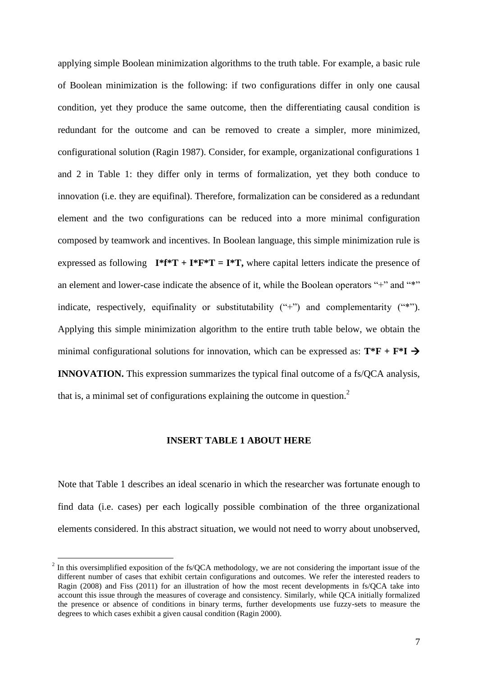applying simple Boolean minimization algorithms to the truth table. For example, a basic rule of Boolean minimization is the following: if two configurations differ in only one causal condition, yet they produce the same outcome, then the differentiating causal condition is redundant for the outcome and can be removed to create a simpler, more minimized, configurational solution (Ragin 1987). Consider, for example, organizational configurations 1 and 2 in Table 1: they differ only in terms of formalization, yet they both conduce to innovation (i.e. they are equifinal). Therefore, formalization can be considered as a redundant element and the two configurations can be reduced into a more minimal configuration composed by teamwork and incentives. In Boolean language, this simple minimization rule is expressed as following  $I^*f^*T + I^*F^*T = I^*T$ , where capital letters indicate the presence of an element and lower-case indicate the absence of it, while the Boolean operators "+" and "\*" indicate, respectively, equifinality or substitutability ("+") and complementarity ("\*"). Applying this simple minimization algorithm to the entire truth table below, we obtain the minimal configurational solutions for innovation, which can be expressed as:  $T^*F + F^*I \rightarrow$ **INNOVATION.** This expression summarizes the typical final outcome of a fs/OCA analysis, that is, a minimal set of configurations explaining the outcome in question.<sup>2</sup>

#### **INSERT TABLE 1 ABOUT HERE**

Note that Table 1 describes an ideal scenario in which the researcher was fortunate enough to find data (i.e. cases) per each logically possible combination of the three organizational elements considered. In this abstract situation, we would not need to worry about unobserved,

1

 $2^{2}$  In this oversimplified exposition of the fs/QCA methodology, we are not considering the important issue of the different number of cases that exhibit certain configurations and outcomes. We refer the interested readers to Ragin (2008) and Fiss (2011) for an illustration of how the most recent developments in fs/QCA take into account this issue through the measures of coverage and consistency. Similarly, while QCA initially formalized the presence or absence of conditions in binary terms, further developments use fuzzy-sets to measure the degrees to which cases exhibit a given causal condition (Ragin 2000).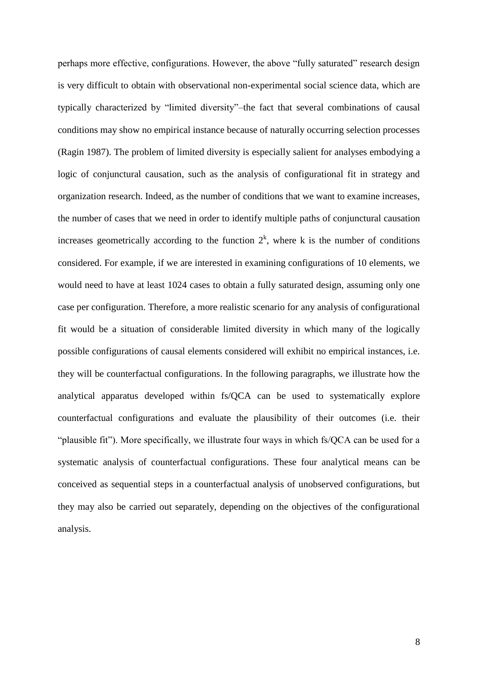perhaps more effective, configurations. However, the above "fully saturated" research design is very difficult to obtain with observational non-experimental social science data, which are typically characterized by "limited diversity"–the fact that several combinations of causal conditions may show no empirical instance because of naturally occurring selection processes (Ragin 1987). The problem of limited diversity is especially salient for analyses embodying a logic of conjunctural causation, such as the analysis of configurational fit in strategy and organization research. Indeed, as the number of conditions that we want to examine increases, the number of cases that we need in order to identify multiple paths of conjunctural causation increases geometrically according to the function  $2<sup>k</sup>$ , where k is the number of conditions considered. For example, if we are interested in examining configurations of 10 elements, we would need to have at least 1024 cases to obtain a fully saturated design, assuming only one case per configuration. Therefore, a more realistic scenario for any analysis of configurational fit would be a situation of considerable limited diversity in which many of the logically possible configurations of causal elements considered will exhibit no empirical instances, i.e. they will be counterfactual configurations. In the following paragraphs, we illustrate how the analytical apparatus developed within fs/QCA can be used to systematically explore counterfactual configurations and evaluate the plausibility of their outcomes (i.e. their "plausible fit"). More specifically, we illustrate four ways in which fs/QCA can be used for a systematic analysis of counterfactual configurations. These four analytical means can be conceived as sequential steps in a counterfactual analysis of unobserved configurations, but they may also be carried out separately, depending on the objectives of the configurational analysis.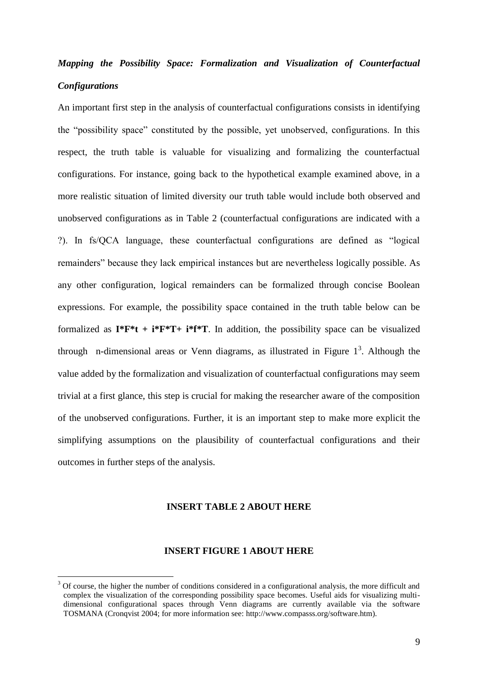### *Mapping the Possibility Space: Formalization and Visualization of Counterfactual Configurations*

An important first step in the analysis of counterfactual configurations consists in identifying the "possibility space" constituted by the possible, yet unobserved, configurations. In this respect, the truth table is valuable for visualizing and formalizing the counterfactual configurations. For instance, going back to the hypothetical example examined above, in a more realistic situation of limited diversity our truth table would include both observed and unobserved configurations as in Table 2 (counterfactual configurations are indicated with a ?). In fs/QCA language, these counterfactual configurations are defined as "logical remainders" because they lack empirical instances but are nevertheless logically possible. As any other configuration, logical remainders can be formalized through concise Boolean expressions. For example, the possibility space contained in the truth table below can be formalized as  $I^*F^*t + i^*F^*T + i^*f^*T$ . In addition, the possibility space can be visualized through n-dimensional areas or Venn diagrams, as illustrated in Figure  $1<sup>3</sup>$ . Although the value added by the formalization and visualization of counterfactual configurations may seem trivial at a first glance, this step is crucial for making the researcher aware of the composition of the unobserved configurations. Further, it is an important step to make more explicit the simplifying assumptions on the plausibility of counterfactual configurations and their outcomes in further steps of the analysis.

#### **INSERT TABLE 2 ABOUT HERE**

#### **INSERT FIGURE 1 ABOUT HERE**

1

<sup>3</sup> Of course, the higher the number of conditions considered in a configurational analysis, the more difficult and complex the visualization of the corresponding possibility space becomes. Useful aids for visualizing multidimensional configurational spaces through Venn diagrams are currently available via the software TOSMANA (Cronqvist 2004; for more information see: http://www.compasss.org/software.htm).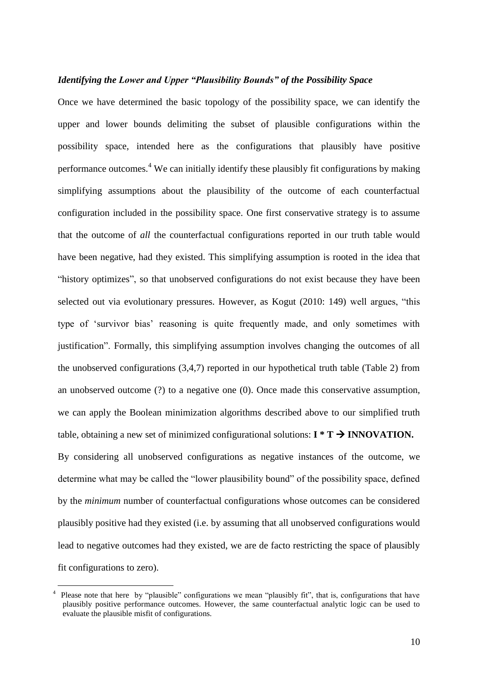#### *Identifying the Lower and Upper "Plausibility Bounds" of the Possibility Space*

Once we have determined the basic topology of the possibility space, we can identify the upper and lower bounds delimiting the subset of plausible configurations within the possibility space, intended here as the configurations that plausibly have positive performance outcomes.<sup>4</sup> We can initially identify these plausibly fit configurations by making simplifying assumptions about the plausibility of the outcome of each counterfactual configuration included in the possibility space. One first conservative strategy is to assume that the outcome of *all* the counterfactual configurations reported in our truth table would have been negative, had they existed. This simplifying assumption is rooted in the idea that "history optimizes", so that unobserved configurations do not exist because they have been selected out via evolutionary pressures. However, as Kogut (2010: 149) well argues, "this type of 'survivor bias' reasoning is quite frequently made, and only sometimes with justification". Formally, this simplifying assumption involves changing the outcomes of all the unobserved configurations (3,4,7) reported in our hypothetical truth table (Table 2) from an unobserved outcome (?) to a negative one (0). Once made this conservative assumption, we can apply the Boolean minimization algorithms described above to our simplified truth table, obtaining a new set of minimized configurational solutions:  $I^*T \rightarrow INNOVATION$ . By considering all unobserved configurations as negative instances of the outcome, we determine what may be called the "lower plausibility bound" of the possibility space, defined by the *minimum* number of counterfactual configurations whose outcomes can be considered plausibly positive had they existed (i.e. by assuming that all unobserved configurations would lead to negative outcomes had they existed, we are de facto restricting the space of plausibly fit configurations to zero).

<u>.</u>

<sup>4</sup> Please note that here by "plausible" configurations we mean "plausibly fit", that is, configurations that have plausibly positive performance outcomes. However, the same counterfactual analytic logic can be used to evaluate the plausible misfit of configurations.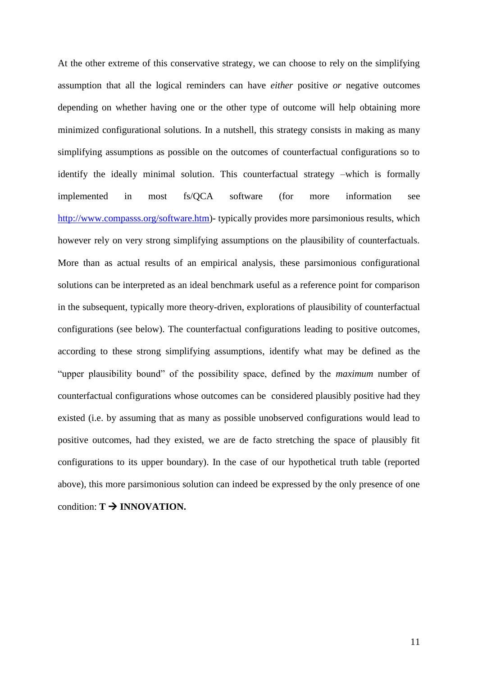At the other extreme of this conservative strategy, we can choose to rely on the simplifying assumption that all the logical reminders can have *either* positive *or* negative outcomes depending on whether having one or the other type of outcome will help obtaining more minimized configurational solutions. In a nutshell, this strategy consists in making as many simplifying assumptions as possible on the outcomes of counterfactual configurations so to identify the ideally minimal solution. This counterfactual strategy –which is formally implemented in most fs/QCA software (for more information see [http://www.compasss.org/software.htm\)](http://www.compasss.org/software.htm)- typically provides more parsimonious results, which however rely on very strong simplifying assumptions on the plausibility of counterfactuals. More than as actual results of an empirical analysis, these parsimonious configurational solutions can be interpreted as an ideal benchmark useful as a reference point for comparison in the subsequent, typically more theory-driven, explorations of plausibility of counterfactual configurations (see below). The counterfactual configurations leading to positive outcomes, according to these strong simplifying assumptions, identify what may be defined as the "upper plausibility bound" of the possibility space, defined by the *maximum* number of counterfactual configurations whose outcomes can be considered plausibly positive had they existed (i.e. by assuming that as many as possible unobserved configurations would lead to positive outcomes, had they existed, we are de facto stretching the space of plausibly fit configurations to its upper boundary). In the case of our hypothetical truth table (reported above), this more parsimonious solution can indeed be expressed by the only presence of one condition:  $T \rightarrow \text{INNOVATION}$ .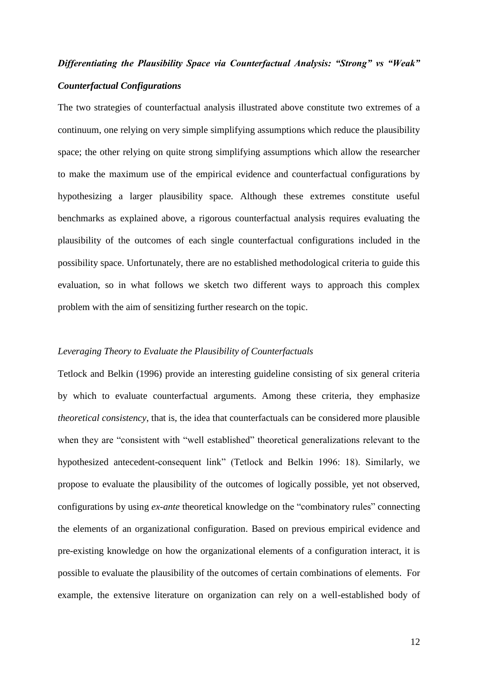## *Differentiating the Plausibility Space via Counterfactual Analysis: "Strong" vs "Weak" Counterfactual Configurations*

The two strategies of counterfactual analysis illustrated above constitute two extremes of a continuum, one relying on very simple simplifying assumptions which reduce the plausibility space; the other relying on quite strong simplifying assumptions which allow the researcher to make the maximum use of the empirical evidence and counterfactual configurations by hypothesizing a larger plausibility space. Although these extremes constitute useful benchmarks as explained above, a rigorous counterfactual analysis requires evaluating the plausibility of the outcomes of each single counterfactual configurations included in the possibility space. Unfortunately, there are no established methodological criteria to guide this evaluation, so in what follows we sketch two different ways to approach this complex problem with the aim of sensitizing further research on the topic.

#### *Leveraging Theory to Evaluate the Plausibility of Counterfactuals*

Tetlock and Belkin (1996) provide an interesting guideline consisting of six general criteria by which to evaluate counterfactual arguments. Among these criteria, they emphasize *theoretical consistency*, that is, the idea that counterfactuals can be considered more plausible when they are "consistent with "well established" theoretical generalizations relevant to the hypothesized antecedent-consequent link" (Tetlock and Belkin 1996: 18). Similarly, we propose to evaluate the plausibility of the outcomes of logically possible, yet not observed, configurations by using *ex-ante* theoretical knowledge on the "combinatory rules" connecting the elements of an organizational configuration. Based on previous empirical evidence and pre-existing knowledge on how the organizational elements of a configuration interact, it is possible to evaluate the plausibility of the outcomes of certain combinations of elements. For example, the extensive literature on organization can rely on a well-established body of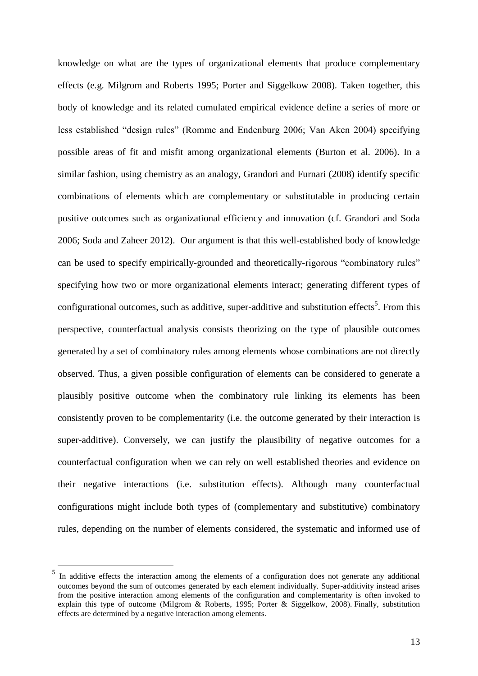knowledge on what are the types of organizational elements that produce complementary effects (e.g. Milgrom and Roberts 1995; Porter and Siggelkow 2008). Taken together, this body of knowledge and its related cumulated empirical evidence define a series of more or less established "design rules" (Romme and Endenburg 2006; Van Aken 2004) specifying possible areas of fit and misfit among organizational elements (Burton et al. 2006). In a similar fashion, using chemistry as an analogy, Grandori and Furnari (2008) identify specific combinations of elements which are complementary or substitutable in producing certain positive outcomes such as organizational efficiency and innovation (cf. Grandori and Soda 2006; Soda and Zaheer 2012). Our argument is that this well-established body of knowledge can be used to specify empirically-grounded and theoretically-rigorous "combinatory rules" specifying how two or more organizational elements interact; generating different types of configurational outcomes, such as additive, super-additive and substitution effects<sup>5</sup>. From this perspective, counterfactual analysis consists theorizing on the type of plausible outcomes generated by a set of combinatory rules among elements whose combinations are not directly observed. Thus, a given possible configuration of elements can be considered to generate a plausibly positive outcome when the combinatory rule linking its elements has been consistently proven to be complementarity (i.e. the outcome generated by their interaction is super-additive). Conversely, we can justify the plausibility of negative outcomes for a counterfactual configuration when we can rely on well established theories and evidence on their negative interactions (i.e. substitution effects). Although many counterfactual configurations might include both types of (complementary and substitutive) combinatory rules, depending on the number of elements considered, the systematic and informed use of

<u>.</u>

<sup>5</sup> In additive effects the interaction among the elements of a configuration does not generate any additional outcomes beyond the sum of outcomes generated by each element individually. Super-additivity instead arises from the positive interaction among elements of the configuration and complementarity is often invoked to explain this type of outcome (Milgrom & Roberts, 1995; Porter & Siggelkow, 2008). Finally, substitution effects are determined by a negative interaction among elements.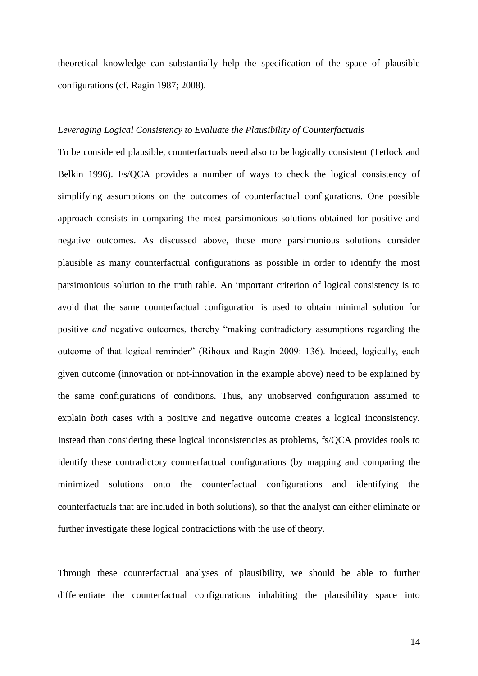theoretical knowledge can substantially help the specification of the space of plausible configurations (cf. Ragin 1987; 2008).

#### *Leveraging Logical Consistency to Evaluate the Plausibility of Counterfactuals*

To be considered plausible, counterfactuals need also to be logically consistent (Tetlock and Belkin 1996). Fs/QCA provides a number of ways to check the logical consistency of simplifying assumptions on the outcomes of counterfactual configurations. One possible approach consists in comparing the most parsimonious solutions obtained for positive and negative outcomes. As discussed above, these more parsimonious solutions consider plausible as many counterfactual configurations as possible in order to identify the most parsimonious solution to the truth table. An important criterion of logical consistency is to avoid that the same counterfactual configuration is used to obtain minimal solution for positive *and* negative outcomes, thereby "making contradictory assumptions regarding the outcome of that logical reminder" (Rihoux and Ragin 2009: 136). Indeed, logically, each given outcome (innovation or not-innovation in the example above) need to be explained by the same configurations of conditions. Thus, any unobserved configuration assumed to explain *both* cases with a positive and negative outcome creates a logical inconsistency. Instead than considering these logical inconsistencies as problems, fs/QCA provides tools to identify these contradictory counterfactual configurations (by mapping and comparing the minimized solutions onto the counterfactual configurations and identifying the counterfactuals that are included in both solutions), so that the analyst can either eliminate or further investigate these logical contradictions with the use of theory.

Through these counterfactual analyses of plausibility, we should be able to further differentiate the counterfactual configurations inhabiting the plausibility space into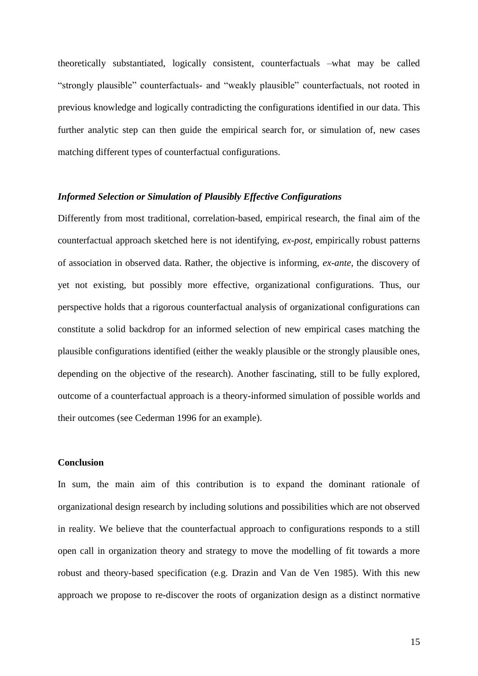theoretically substantiated, logically consistent, counterfactuals –what may be called "strongly plausible" counterfactuals- and "weakly plausible" counterfactuals, not rooted in previous knowledge and logically contradicting the configurations identified in our data. This further analytic step can then guide the empirical search for, or simulation of, new cases matching different types of counterfactual configurations.

#### *Informed Selection or Simulation of Plausibly Effective Configurations*

Differently from most traditional, correlation-based, empirical research, the final aim of the counterfactual approach sketched here is not identifying, *ex-post*, empirically robust patterns of association in observed data. Rather, the objective is informing, *ex-ante,* the discovery of yet not existing, but possibly more effective, organizational configurations. Thus, our perspective holds that a rigorous counterfactual analysis of organizational configurations can constitute a solid backdrop for an informed selection of new empirical cases matching the plausible configurations identified (either the weakly plausible or the strongly plausible ones, depending on the objective of the research). Another fascinating, still to be fully explored, outcome of a counterfactual approach is a theory-informed simulation of possible worlds and their outcomes (see Cederman 1996 for an example).

#### **Conclusion**

In sum, the main aim of this contribution is to expand the dominant rationale of organizational design research by including solutions and possibilities which are not observed in reality. We believe that the counterfactual approach to configurations responds to a still open call in organization theory and strategy to move the modelling of fit towards a more robust and theory-based specification (e.g. Drazin and Van de Ven 1985). With this new approach we propose to re-discover the roots of organization design as a distinct normative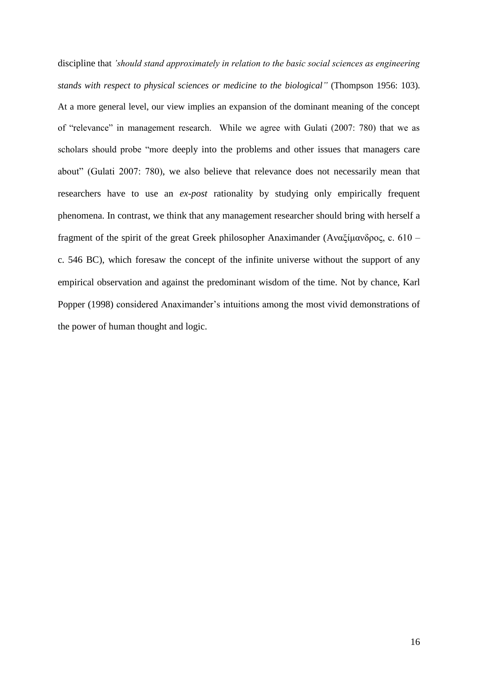discipline that *'should stand approximately in relation to the basic social sciences as engineering stands with respect to physical sciences or medicine to the biological"* (Thompson 1956: 103). At a more general level, our view implies an expansion of the dominant meaning of the concept of "relevance" in management research. While we agree with Gulati (2007: 780) that we as scholars should probe "more deeply into the problems and other issues that managers care about" (Gulati 2007: 780), we also believe that relevance does not necessarily mean that researchers have to use an *ex-post* rationality by studying only empirically frequent phenomena. In contrast, we think that any management researcher should bring with herself a fragment of the spirit of the great Greek philosopher Anaximander (Aναξίμανδρος, c. 610 – c. 546 BC), which foresaw the concept of the infinite universe without the support of any empirical observation and against the predominant wisdom of the time. Not by chance, Karl Popper (1998) considered Anaximander's intuitions among the most vivid demonstrations of the power of human thought and logic.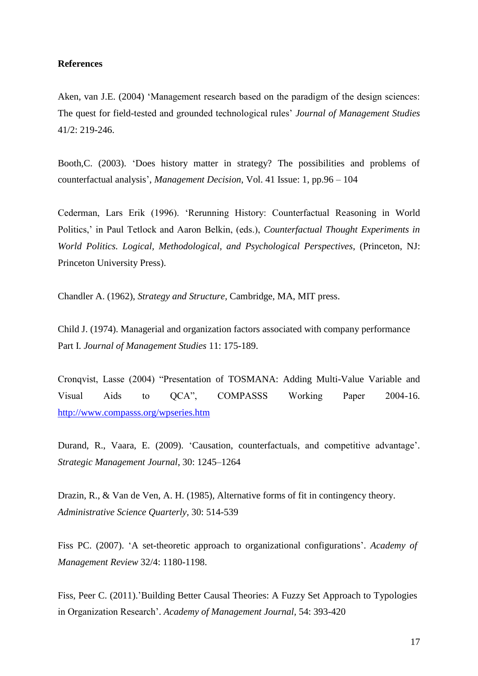#### **References**

Aken, van J.E. (2004) 'Management research based on the paradigm of the design sciences: The quest for field-tested and grounded technological rules' *Journal of Management Studies*  41/2: 219-246.

Booth,C. (2003). 'Does history matter in strategy? The possibilities and problems of counterfactual analysis', *Management Decision*, Vol. 41 Issue: 1, pp.96 – 104

Cederman, Lars Erik (1996). 'Rerunning History: Counterfactual Reasoning in World Politics,' in Paul Tetlock and Aaron Belkin, (eds.), *Counterfactual Thought Experiments in World Politics. Logical, Methodological, and Psychological Perspectives*, (Princeton, NJ: Princeton University Press).

Chandler A. (1962), *Strategy and Structure,* Cambridge, MA, MIT press.

Child J. (1974). Managerial and organization factors associated with company performance Part I. *Journal of Management Studies* 11: 175-189.

Cronqvist, Lasse (2004) "Presentation of TOSMANA: Adding Multi-Value Variable and Visual Aids to QCA", COMPASSS Working Paper 2004-16. <http://www.compasss.org/wpseries.htm>

Durand, R., Vaara, E. (2009). 'Causation, counterfactuals, and competitive advantage'. *Strategic Management Journal*, 30: 1245–1264

Drazin, R., & Van de Ven, A. H. (1985), Alternative forms of fit in contingency theory. *Administrative Science Quarterly,* 30: 514-539

Fiss PC. (2007). 'A set-theoretic approach to organizational configurations'. *Academy of Management Review* 32/4: 1180-1198.

Fiss, Peer C. (2011)[.'Building Better Causal Theories: A Fuzzy Set Approach to Typologies](http://www-bcf.usc.edu/~fiss/Fiss%20AMJ%20in%20press.pdf)  [in Organization Research'.](http://www-bcf.usc.edu/~fiss/Fiss%20AMJ%20in%20press.pdf) *Academy of Management Journal,* 54: 393-420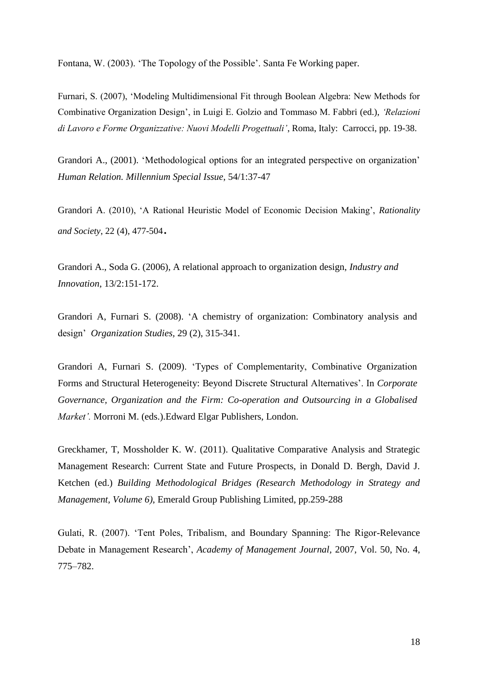Fontana, W. (2003). 'The Topology of the Possible'. Santa Fe Working paper.

Furnari, S. (2007), 'Modeling Multidimensional Fit through Boolean Algebra: New Methods for Combinative Organization Design', in Luigi E. Golzio and Tommaso M. Fabbri (ed.), *'Relazioni di Lavoro e Forme Organizzative: Nuovi Modelli Progettuali'*, Roma, Italy: Carrocci, pp. 19-38.

Grandori A., (2001). 'Methodological options for an integrated perspective on organization' *Human Relation. Millennium Special Issue*, 54/1:37-47

Grandori A. (2010), 'A Rational Heuristic Model of Economic Decision Making', *Rationality and Society*, 22 (4), 477-504.

Grandori A., Soda G. (2006), A relational approach to organization design, *Industry and Innovation*, 13/2:151-172.

Grandori A, Furnari S. (2008). 'A chemistry of organization: Combinatory analysis and design' *Organization Studies,* 29 (2), 315-341.

Grandori A, Furnari S. (2009). 'Types of Complementarity, Combinative Organization Forms and Structural Heterogeneity: Beyond Discrete Structural Alternatives'. In *Corporate Governance, Organization and the Firm: Co-operation and Outsourcing in a Globalised Market'.* Morroni M. (eds.).Edward Elgar Publishers, London.

Greckhamer, T, Mossholder K. W. (2011). Qualitative Comparative Analysis and Strategic Management Research: Current State and Future Prospects, in Donald D. Bergh, David J. Ketchen (ed.) *Building Methodological Bridges (Research Methodology in Strategy and Management, Volume 6)*, Emerald Group Publishing Limited, pp.259-288

Gulati, R. (2007). 'Tent Poles, Tribalism, and Boundary Spanning: The Rigor-Relevance Debate in Management Research', *Academy of Management Journal,* 2007, Vol. 50, No. 4, 775–782.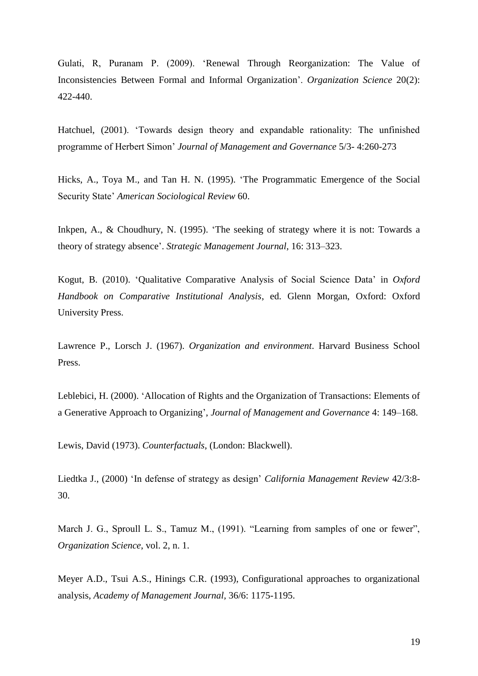Gulati, R, Puranam P. (2009). 'Renewal Through Reorganization: The Value of Inconsistencies Between Formal and Informal Organization'. *Organization Science* 20(2): 422-440.

Hatchuel, (2001). 'Towards design theory and expandable rationality: The unfinished programme of Herbert Simon' *Journal of Management and Governance* 5/3- 4:260-273

Hicks, A., Toya M., and Tan H. N. (1995). 'The Programmatic Emergence of the Social Security State' *American Sociological Review* 60.

Inkpen, A., & Choudhury, N. (1995). 'The seeking of strategy where it is not: Towards a theory of strategy absence'. *Strategic Management Journal*, 16: 313–323.

Kogut, B. (2010). 'Qualitative Comparative Analysis of Social Science Data' in *Oxford Handbook on Comparative Institutional Analysis*, ed. Glenn Morgan, Oxford: Oxford University Press.

Lawrence P., Lorsch J. (1967). *Organization and environment*. Harvard Business School Press.

Leblebici, H. (2000). 'Allocation of Rights and the Organization of Transactions: Elements of a Generative Approach to Organizing', *Journal of Management and Governance* 4: 149–168.

Lewis, David (1973). *Counterfactuals*, (London: Blackwell).

Liedtka J., (2000) 'In defense of strategy as design' *California Management Review* 42/3:8- 30.

March J. G., Sproull L. S., Tamuz M., (1991). "Learning from samples of one or fewer", *Organization Science*, vol. 2, n. 1.

Meyer A.D., Tsui A.S., Hinings C.R. (1993), Configurational approaches to organizational analysis, *Academy of Management Journal,* 36/6: 1175-1195.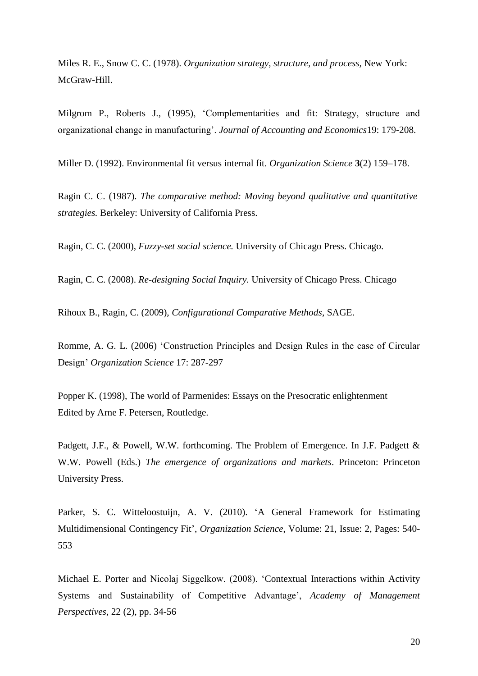Miles R. E., Snow C. C. (1978). *Organization strategy, structure, and process,* New York: McGraw-Hill.

Milgrom P., Roberts J., (1995), 'Complementarities and fit: Strategy, structure and organizational change in manufacturing'. *Journal of Accounting and Economics*19: 179-208.

Miller D. (1992). Environmental fit versus internal fit. *Organization Science* **3**(2) 159–178.

Ragin C. C. (1987). *The comparative method: Moving beyond qualitative and quantitative strategies.* Berkeley: University of California Press.

Ragin, C. C. (2000), *Fuzzy-set social science.* University of Chicago Press. Chicago.

Ragin, C. C. (2008). *Re-designing Social Inquiry.* University of Chicago Press. Chicago

Rihoux B., Ragin, C. (2009), *Configurational Comparative Methods*, SAGE.

Romme, A. G. L. (2006) 'Construction Principles and Design Rules in the case of Circular Design' *Organization Science* 17: 287-297

Popper K. (1998), The world of Parmenides: Essays on the Presocratic enlightenment Edited by Arne F. Petersen, Routledge.

Padgett, J.F., & Powell, W.W. forthcoming. The Problem of Emergence. In J.F. Padgett & W.W. Powell (Eds.) *The emergence of organizations and markets*. Princeton: Princeton University Press.

Parker, S. C. Witteloostuijn, A. V. (2010). 'A General Framework for Estimating Multidimensional Contingency Fit', *Organization Science*, Volume: 21, Issue: 2, Pages: 540- 553

Michael E. Porter and Nicolaj Siggelkow. (2008). 'Contextual Interactions within Activity Systems and Sustainability of Competitive Advantage', *Academy of Management Perspectives*, 22 (2), pp. 34-56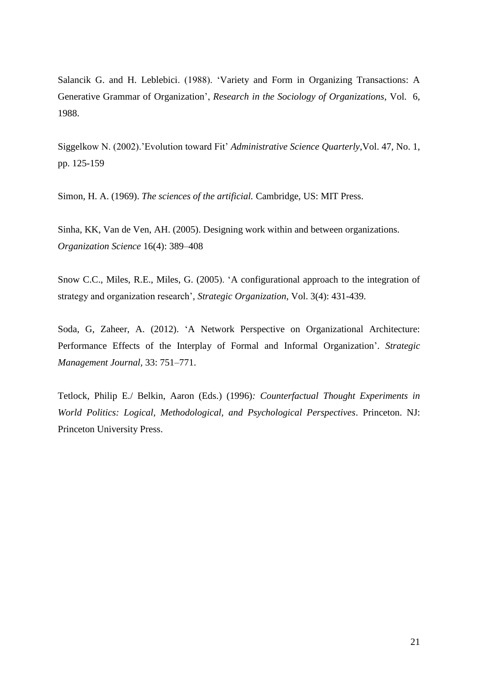Salancik G. and H. Leblebici. (1988). 'Variety and Form in Organizing Transactions: A Generative Grammar of Organization', *Research in the Sociology of Organizations*, Vol. 6, 1988.

Siggelkow N. (2002).'Evolution toward Fit' *Administrative Science Quarterly*,Vol. 47, No. 1, pp. 125-159

Simon, H. A. (1969). *The sciences of the artificial.* Cambridge, US: MIT Press.

Sinha, KK, Van de Ven, AH. (2005). Designing work within and between organizations. *Organization Science* 16(4): 389–408

Snow C.C., Miles, R.E., Miles, G. (2005). 'A configurational approach to the integration of strategy and organization research', *Strategic Organization*, Vol. 3(4): 431-439.

Soda, G, Zaheer, A. (2012). 'A Network Perspective on Organizational Architecture: Performance Effects of the Interplay of Formal and Informal Organization'. *Strategic Management Journal,* 33: 751–771.

Tetlock, Philip E./ Belkin, Aaron (Eds.) (1996)*: Counterfactual Thought Experiments in World Politics: Logical, Methodological, and Psychological Perspectives*. Princeton. NJ: Princeton University Press.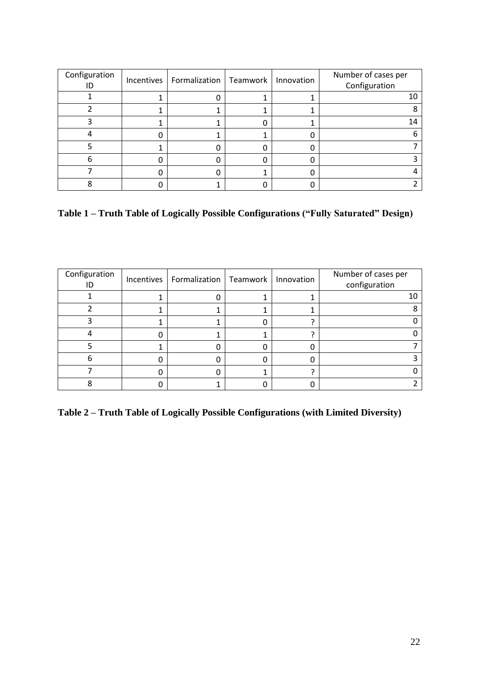| Configuration | Incentives | Formalization   Teamwork | Innovation | Number of cases per<br>Configuration |
|---------------|------------|--------------------------|------------|--------------------------------------|
|               |            |                          |            |                                      |
|               |            |                          |            |                                      |
|               |            |                          |            | 14                                   |
|               |            |                          |            |                                      |
|               |            |                          |            |                                      |
| h             |            |                          |            |                                      |
|               |            |                          |            |                                      |
|               |            |                          |            |                                      |

**Table 1 – Truth Table of Logically Possible Configurations ("Fully Saturated" Design)**

| Configuration | Incentives | Formalization   Teamwork | Innovation | Number of cases per<br>configuration |
|---------------|------------|--------------------------|------------|--------------------------------------|
|               |            |                          |            | 10                                   |
|               |            |                          |            |                                      |
|               |            |                          |            |                                      |
|               |            |                          |            |                                      |
|               |            |                          |            |                                      |
| h             |            |                          |            |                                      |
|               |            |                          |            |                                      |
|               |            |                          |            |                                      |

**Table 2 – Truth Table of Logically Possible Configurations (with Limited Diversity)**